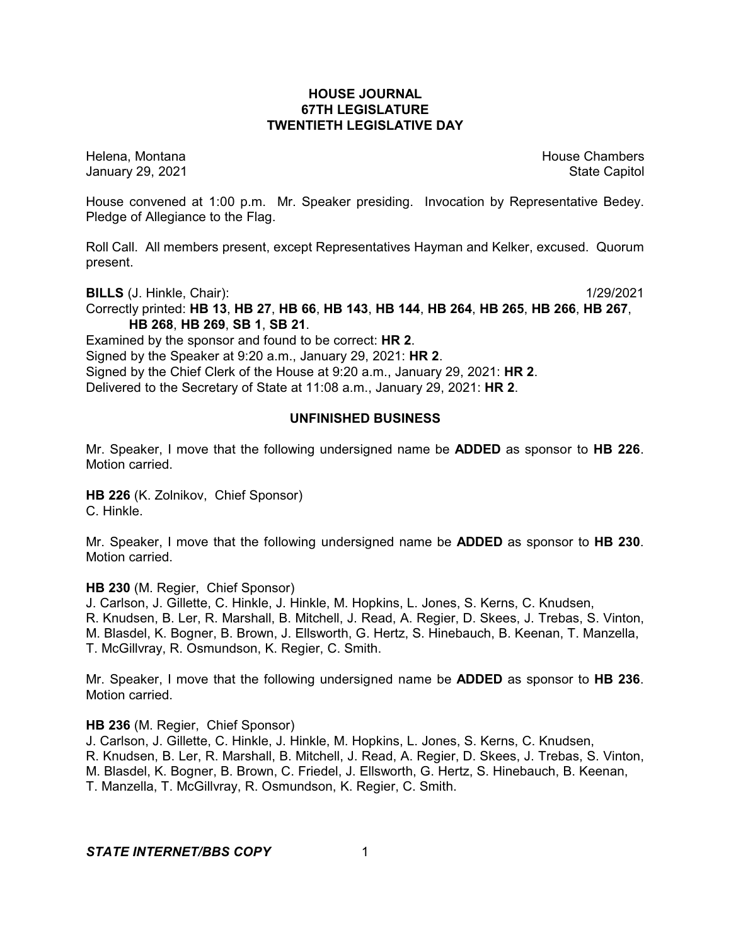### **HOUSE JOURNAL 67TH LEGISLATURE TWENTIETH LEGISLATIVE DAY**

Helena, Montana House Chambers Chambers Chambers and House Chambers Chambers Chambers Chambers Chambers Chambers Chambers Chambers Chambers Chambers Chambers Chambers Chambers Chambers Chambers Chambers Chambers Chambers C January 29, 2021 **State Capitol** 

House convened at 1:00 p.m. Mr. Speaker presiding. Invocation by Representative Bedey. Pledge of Allegiance to the Flag.

Roll Call. All members present, except Representatives Hayman and Kelker, excused. Quorum present.

**BILLS** (J. Hinkle, Chair): 1/29/2021

Correctly printed: **HB 13**, **HB 27**, **HB 66**, **HB 143**, **HB 144**, **HB 264**, **HB 265**, **HB 266**, **HB 267**, **HB 268**, **HB 269**, **SB 1**, **SB 21**.

Examined by the sponsor and found to be correct: **HR 2**. Signed by the Speaker at 9:20 a.m., January 29, 2021: **HR 2**.

Signed by the Chief Clerk of the House at 9:20 a.m., January 29, 2021: **HR 2**.

Delivered to the Secretary of State at 11:08 a.m., January 29, 2021: **HR 2**.

### **UNFINISHED BUSINESS**

Mr. Speaker, I move that the following undersigned name be **ADDED** as sponsor to **HB 226**. Motion carried.

**HB 226** (K. Zolnikov, Chief Sponsor) C. Hinkle.

Mr. Speaker, I move that the following undersigned name be **ADDED** as sponsor to **HB 230**. Motion carried.

#### **HB 230** (M. Regier, Chief Sponsor)

J. Carlson, J. Gillette, C. Hinkle, J. Hinkle, M. Hopkins, L. Jones, S. Kerns, C. Knudsen, R. Knudsen, B. Ler, R. Marshall, B. Mitchell, J. Read, A. Regier, D. Skees, J. Trebas, S. Vinton, M. Blasdel, K. Bogner, B. Brown, J. Ellsworth, G. Hertz, S. Hinebauch, B. Keenan, T. Manzella, T. McGillvray, R. Osmundson, K. Regier, C. Smith.

Mr. Speaker, I move that the following undersigned name be **ADDED** as sponsor to **HB 236**. Motion carried.

### **HB 236** (M. Regier, Chief Sponsor)

J. Carlson, J. Gillette, C. Hinkle, J. Hinkle, M. Hopkins, L. Jones, S. Kerns, C. Knudsen, R. Knudsen, B. Ler, R. Marshall, B. Mitchell, J. Read, A. Regier, D. Skees, J. Trebas, S. Vinton, M. Blasdel, K. Bogner, B. Brown, C. Friedel, J. Ellsworth, G. Hertz, S. Hinebauch, B. Keenan, T. Manzella, T. McGillvray, R. Osmundson, K. Regier, C. Smith.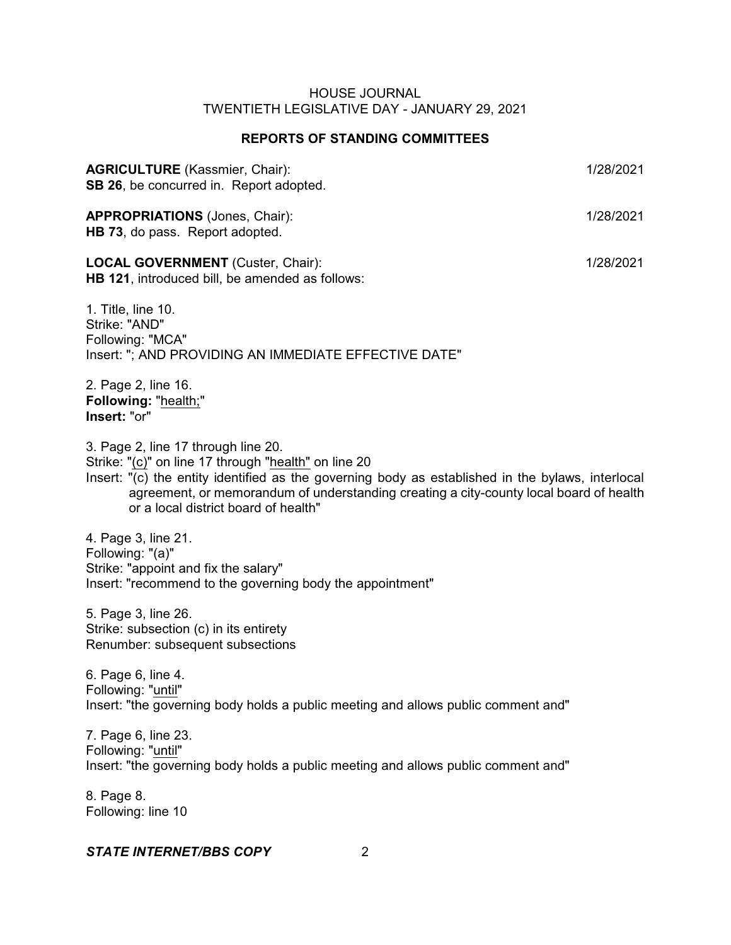# **REPORTS OF STANDING COMMITTEES**

| <b>AGRICULTURE</b> (Kassmier, Chair):<br>SB 26, be concurred in. Report adopted.                                                                                                                                                                                                                                                   | 1/28/2021 |
|------------------------------------------------------------------------------------------------------------------------------------------------------------------------------------------------------------------------------------------------------------------------------------------------------------------------------------|-----------|
| <b>APPROPRIATIONS</b> (Jones, Chair):<br>HB 73, do pass. Report adopted.                                                                                                                                                                                                                                                           | 1/28/2021 |
| <b>LOCAL GOVERNMENT</b> (Custer, Chair):<br>HB 121, introduced bill, be amended as follows:                                                                                                                                                                                                                                        | 1/28/2021 |
| 1. Title, line 10.<br>Strike: "AND"<br>Following: "MCA"<br>Insert: "; AND PROVIDING AN IMMEDIATE EFFECTIVE DATE"                                                                                                                                                                                                                   |           |
| 2. Page 2, line 16.<br>Following: "health;"<br>Insert: "or"                                                                                                                                                                                                                                                                        |           |
| 3. Page 2, line 17 through line 20.<br>Strike: "(c)" on line 17 through "health" on line 20<br>Insert: "(c) the entity identified as the governing body as established in the bylaws, interlocal<br>agreement, or memorandum of understanding creating a city-county local board of health<br>or a local district board of health" |           |
| 4. Page 3, line 21.<br>Following: "(a)"<br>Strike: "appoint and fix the salary"<br>Insert: "recommend to the governing body the appointment"                                                                                                                                                                                       |           |
| 5. Page 3, line 26.<br>Strike: subsection (c) in its entirety<br>Renumber: subsequent subsections                                                                                                                                                                                                                                  |           |
| 6. Page 6, line 4.<br>Following: "until"<br>Insert: "the governing body holds a public meeting and allows public comment and"                                                                                                                                                                                                      |           |
| 7. Page 6, line 23.<br>Following: "until"                                                                                                                                                                                                                                                                                          |           |

Insert: "the governing body holds a public meeting and allows public comment and"

8. Page 8. Following: line 10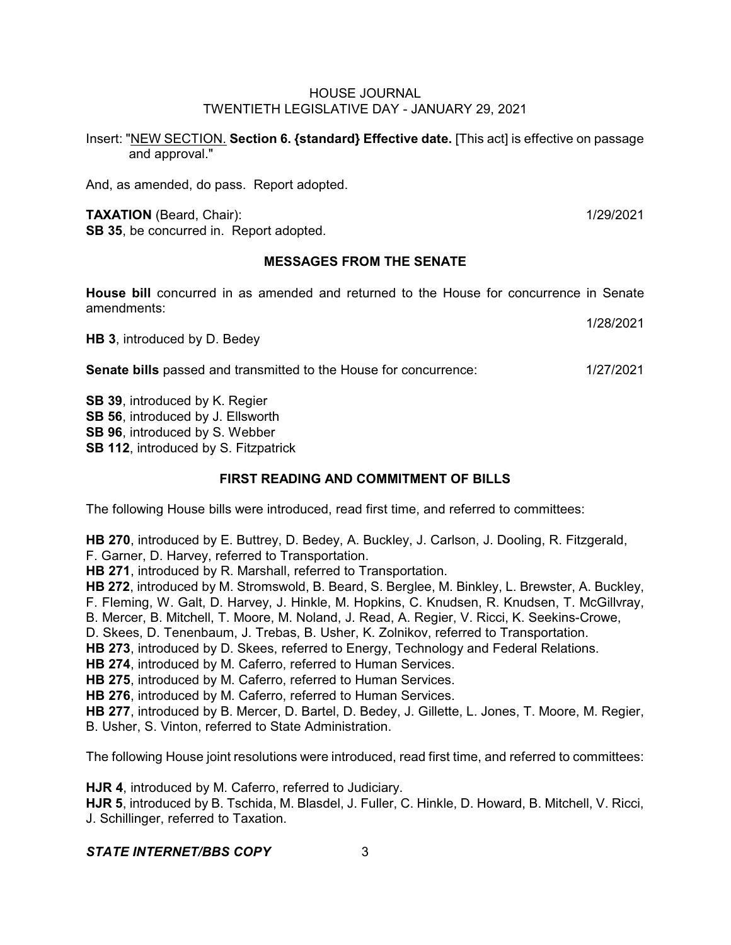Insert: "NEW SECTION. **Section 6. {standard} Effective date.** [This act] is effective on passage and approval."

And, as amended, do pass. Report adopted.

#### **TAXATION** (Beard, Chair): 1/29/2021

**SB 35**, be concurred in. Report adopted.

# **MESSAGES FROM THE SENATE**

**House bill** concurred in as amended and returned to the House for concurrence in Senate amendments:

**HB 3**, introduced by D. Bedey

1/28/2021

**Senate bills** passed and transmitted to the House for concurrence: 1/27/2021

**SB 39**, introduced by K. Regier **SB 56**, introduced by J. Ellsworth **SB 96**, introduced by S. Webber **SB 112, introduced by S. Fitzpatrick** 

# **FIRST READING AND COMMITMENT OF BILLS**

The following House bills were introduced, read first time, and referred to committees:

**HB 270**, introduced by E. Buttrey, D. Bedey, A. Buckley, J. Carlson, J. Dooling, R. Fitzgerald, F. Garner, D. Harvey, referred to Transportation.

**HB 271**, introduced by R. Marshall, referred to Transportation.

**HB 272**, introduced by M. Stromswold, B. Beard, S. Berglee, M. Binkley, L. Brewster, A. Buckley, F. Fleming, W. Galt, D. Harvey, J. Hinkle, M. Hopkins, C. Knudsen, R. Knudsen, T. McGillvray, B. Mercer, B. Mitchell, T. Moore, M. Noland, J. Read, A. Regier, V. Ricci, K. Seekins-Crowe,

D. Skees, D. Tenenbaum, J. Trebas, B. Usher, K. Zolnikov, referred to Transportation.

**HB 273**, introduced by D. Skees, referred to Energy, Technology and Federal Relations.

**HB 274**, introduced by M. Caferro, referred to Human Services.

**HB 275**, introduced by M. Caferro, referred to Human Services.

**HB 276**, introduced by M. Caferro, referred to Human Services.

**HB 277**, introduced by B. Mercer, D. Bartel, D. Bedey, J. Gillette, L. Jones, T. Moore, M. Regier, B. Usher, S. Vinton, referred to State Administration.

The following House joint resolutions were introduced, read first time, and referred to committees:

**HJR 4**, introduced by M. Caferro, referred to Judiciary. **HJR 5**, introduced by B. Tschida, M. Blasdel, J. Fuller, C. Hinkle, D. Howard, B. Mitchell, V. Ricci, J. Schillinger, referred to Taxation.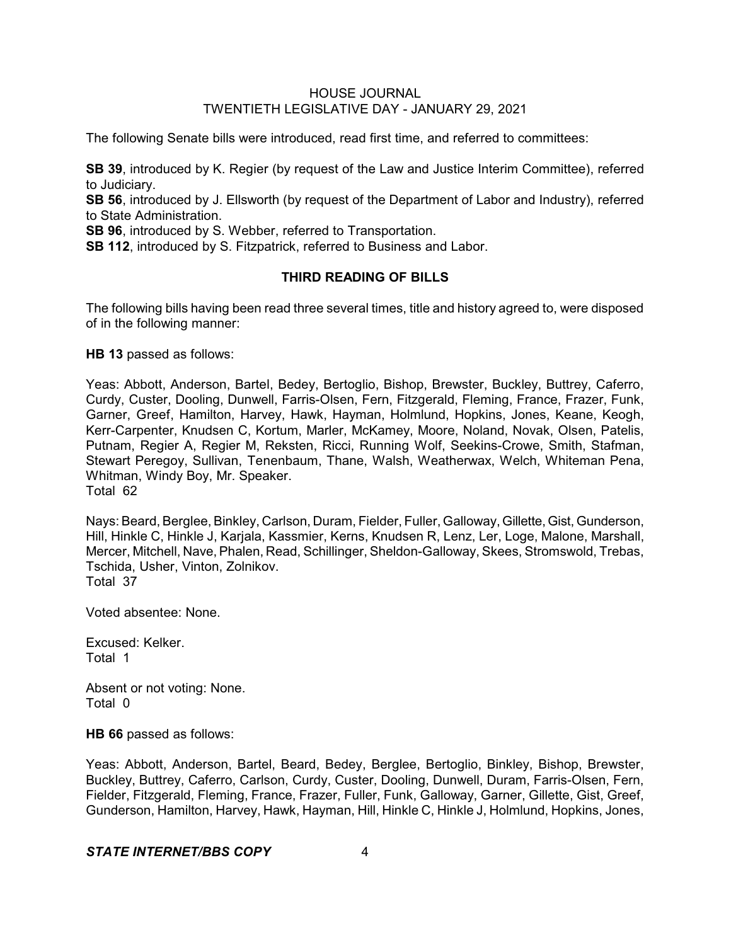The following Senate bills were introduced, read first time, and referred to committees:

**SB 39**, introduced by K. Regier (by request of the Law and Justice Interim Committee), referred to Judiciary.

**SB 56**, introduced by J. Ellsworth (by request of the Department of Labor and Industry), referred to State Administration.

**SB 96**, introduced by S. Webber, referred to Transportation.

**SB 112**, introduced by S. Fitzpatrick, referred to Business and Labor.

# **THIRD READING OF BILLS**

The following bills having been read three several times, title and history agreed to, were disposed of in the following manner:

**HB 13** passed as follows:

Yeas: Abbott, Anderson, Bartel, Bedey, Bertoglio, Bishop, Brewster, Buckley, Buttrey, Caferro, Curdy, Custer, Dooling, Dunwell, Farris-Olsen, Fern, Fitzgerald, Fleming, France, Frazer, Funk, Garner, Greef, Hamilton, Harvey, Hawk, Hayman, Holmlund, Hopkins, Jones, Keane, Keogh, Kerr-Carpenter, Knudsen C, Kortum, Marler, McKamey, Moore, Noland, Novak, Olsen, Patelis, Putnam, Regier A, Regier M, Reksten, Ricci, Running Wolf, Seekins-Crowe, Smith, Stafman, Stewart Peregoy, Sullivan, Tenenbaum, Thane, Walsh, Weatherwax, Welch, Whiteman Pena, Whitman, Windy Boy, Mr. Speaker. Total 62

Nays: Beard, Berglee, Binkley, Carlson, Duram, Fielder, Fuller, Galloway, Gillette, Gist, Gunderson, Hill, Hinkle C, Hinkle J, Karjala, Kassmier, Kerns, Knudsen R, Lenz, Ler, Loge, Malone, Marshall, Mercer, Mitchell, Nave,Phalen, Read, Schillinger, Sheldon-Galloway, Skees, Stromswold, Trebas, Tschida, Usher, Vinton, Zolnikov. Total 37

Voted absentee: None.

Excused: Kelker. Total 1

Absent or not voting: None. Total 0

**HB 66** passed as follows:

Yeas: Abbott, Anderson, Bartel, Beard, Bedey, Berglee, Bertoglio, Binkley, Bishop, Brewster, Buckley, Buttrey, Caferro, Carlson, Curdy, Custer, Dooling, Dunwell, Duram, Farris-Olsen, Fern, Fielder, Fitzgerald, Fleming, France, Frazer, Fuller, Funk, Galloway, Garner, Gillette, Gist, Greef, Gunderson, Hamilton, Harvey, Hawk, Hayman, Hill, Hinkle C, Hinkle J, Holmlund, Hopkins, Jones,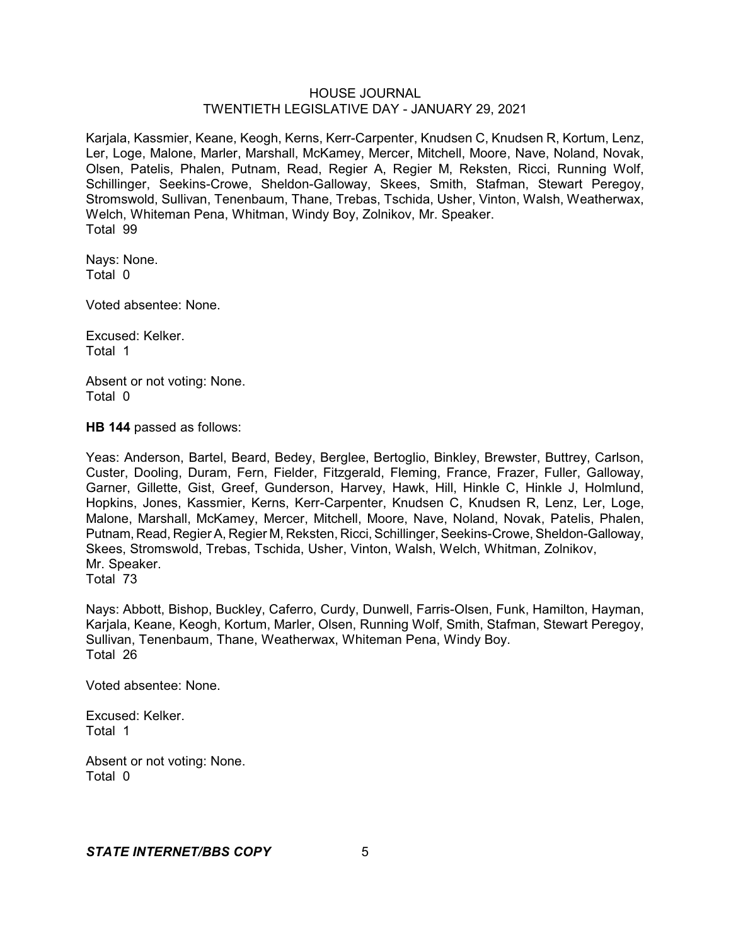Karjala, Kassmier, Keane, Keogh, Kerns, Kerr-Carpenter, Knudsen C, Knudsen R, Kortum, Lenz, Ler, Loge, Malone, Marler, Marshall, McKamey, Mercer, Mitchell, Moore, Nave, Noland, Novak, Olsen, Patelis, Phalen, Putnam, Read, Regier A, Regier M, Reksten, Ricci, Running Wolf, Schillinger, Seekins-Crowe, Sheldon-Galloway, Skees, Smith, Stafman, Stewart Peregoy, Stromswold, Sullivan, Tenenbaum, Thane, Trebas, Tschida, Usher, Vinton, Walsh, Weatherwax, Welch, Whiteman Pena, Whitman, Windy Boy, Zolnikov, Mr. Speaker. Total 99

Nays: None. Total 0

Voted absentee: None.

Excused: Kelker. Total 1

Absent or not voting: None. Total 0

**HB 144** passed as follows:

Yeas: Anderson, Bartel, Beard, Bedey, Berglee, Bertoglio, Binkley, Brewster, Buttrey, Carlson, Custer, Dooling, Duram, Fern, Fielder, Fitzgerald, Fleming, France, Frazer, Fuller, Galloway, Garner, Gillette, Gist, Greef, Gunderson, Harvey, Hawk, Hill, Hinkle C, Hinkle J, Holmlund, Hopkins, Jones, Kassmier, Kerns, Kerr-Carpenter, Knudsen C, Knudsen R, Lenz, Ler, Loge, Malone, Marshall, McKamey, Mercer, Mitchell, Moore, Nave, Noland, Novak, Patelis, Phalen, Putnam, Read, Regier A, Regier M, Reksten, Ricci, Schillinger, Seekins-Crowe, Sheldon-Galloway, Skees, Stromswold, Trebas, Tschida, Usher, Vinton, Walsh, Welch, Whitman, Zolnikov, Mr. Speaker. Total 73

Nays: Abbott, Bishop, Buckley, Caferro, Curdy, Dunwell, Farris-Olsen, Funk, Hamilton, Hayman, Karjala, Keane, Keogh, Kortum, Marler, Olsen, Running Wolf, Smith, Stafman, Stewart Peregoy, Sullivan, Tenenbaum, Thane, Weatherwax, Whiteman Pena, Windy Boy. Total 26

Voted absentee: None.

Excused: Kelker. Total 1

Absent or not voting: None. Total 0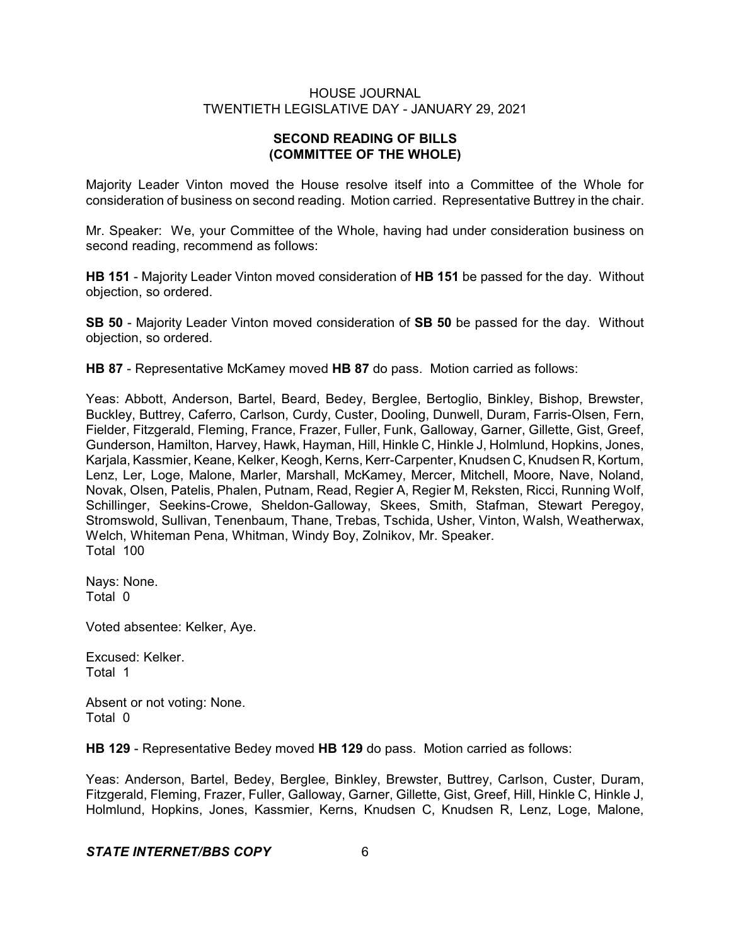# **SECOND READING OF BILLS (COMMITTEE OF THE WHOLE)**

Majority Leader Vinton moved the House resolve itself into a Committee of the Whole for consideration of business on second reading. Motion carried. Representative Buttrey in the chair.

Mr. Speaker: We, your Committee of the Whole, having had under consideration business on second reading, recommend as follows:

**HB 151** - Majority Leader Vinton moved consideration of **HB 151** be passed for the day. Without objection, so ordered.

**SB 50** - Majority Leader Vinton moved consideration of **SB 50** be passed for the day. Without objection, so ordered.

**HB 87** - Representative McKamey moved **HB 87** do pass. Motion carried as follows:

Yeas: Abbott, Anderson, Bartel, Beard, Bedey, Berglee, Bertoglio, Binkley, Bishop, Brewster, Buckley, Buttrey, Caferro, Carlson, Curdy, Custer, Dooling, Dunwell, Duram, Farris-Olsen, Fern, Fielder, Fitzgerald, Fleming, France, Frazer, Fuller, Funk, Galloway, Garner, Gillette, Gist, Greef, Gunderson, Hamilton, Harvey, Hawk, Hayman, Hill, Hinkle C, Hinkle J, Holmlund, Hopkins, Jones, Karjala, Kassmier, Keane, Kelker, Keogh, Kerns, Kerr-Carpenter, Knudsen C, Knudsen R, Kortum, Lenz, Ler, Loge, Malone, Marler, Marshall, McKamey, Mercer, Mitchell, Moore, Nave, Noland, Novak, Olsen, Patelis, Phalen, Putnam, Read, Regier A, Regier M, Reksten, Ricci, Running Wolf, Schillinger, Seekins-Crowe, Sheldon-Galloway, Skees, Smith, Stafman, Stewart Peregoy, Stromswold, Sullivan, Tenenbaum, Thane, Trebas, Tschida, Usher, Vinton, Walsh, Weatherwax, Welch, Whiteman Pena, Whitman, Windy Boy, Zolnikov, Mr. Speaker. Total 100

Nays: None. Total 0

Voted absentee: Kelker, Aye.

Excused: Kelker. Total 1

Absent or not voting: None. Total 0

**HB 129** - Representative Bedey moved **HB 129** do pass. Motion carried as follows:

Yeas: Anderson, Bartel, Bedey, Berglee, Binkley, Brewster, Buttrey, Carlson, Custer, Duram, Fitzgerald, Fleming, Frazer, Fuller, Galloway, Garner, Gillette, Gist, Greef, Hill, Hinkle C, Hinkle J, Holmlund, Hopkins, Jones, Kassmier, Kerns, Knudsen C, Knudsen R, Lenz, Loge, Malone,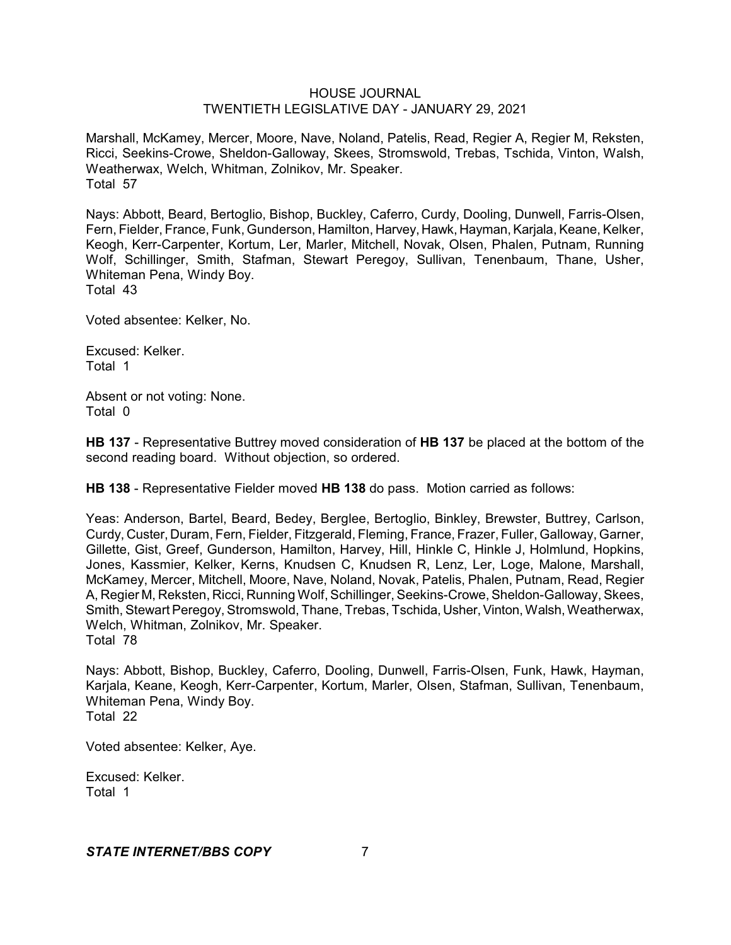Marshall, McKamey, Mercer, Moore, Nave, Noland, Patelis, Read, Regier A, Regier M, Reksten, Ricci, Seekins-Crowe, Sheldon-Galloway, Skees, Stromswold, Trebas, Tschida, Vinton, Walsh, Weatherwax, Welch, Whitman, Zolnikov, Mr. Speaker. Total 57

Nays: Abbott, Beard, Bertoglio, Bishop, Buckley, Caferro, Curdy, Dooling, Dunwell, Farris-Olsen, Fern, Fielder, France, Funk, Gunderson, Hamilton, Harvey, Hawk, Hayman, Karjala, Keane, Kelker, Keogh, Kerr-Carpenter, Kortum, Ler, Marler, Mitchell, Novak, Olsen, Phalen, Putnam, Running Wolf, Schillinger, Smith, Stafman, Stewart Peregoy, Sullivan, Tenenbaum, Thane, Usher, Whiteman Pena, Windy Boy. Total 43

Voted absentee: Kelker, No.

Excused: Kelker. Total 1

Absent or not voting: None. Total 0

**HB 137** - Representative Buttrey moved consideration of **HB 137** be placed at the bottom of the second reading board. Without objection, so ordered.

**HB 138** - Representative Fielder moved **HB 138** do pass. Motion carried as follows:

Yeas: Anderson, Bartel, Beard, Bedey, Berglee, Bertoglio, Binkley, Brewster, Buttrey, Carlson, Curdy, Custer, Duram, Fern, Fielder, Fitzgerald, Fleming, France, Frazer, Fuller, Galloway, Garner, Gillette, Gist, Greef, Gunderson, Hamilton, Harvey, Hill, Hinkle C, Hinkle J, Holmlund, Hopkins, Jones, Kassmier, Kelker, Kerns, Knudsen C, Knudsen R, Lenz, Ler, Loge, Malone, Marshall, McKamey, Mercer, Mitchell, Moore, Nave, Noland, Novak, Patelis, Phalen, Putnam, Read, Regier A, Regier M, Reksten, Ricci, Running Wolf, Schillinger, Seekins-Crowe,Sheldon-Galloway, Skees, Smith, Stewart Peregoy, Stromswold, Thane, Trebas, Tschida, Usher, Vinton, Walsh, Weatherwax, Welch, Whitman, Zolnikov, Mr. Speaker. Total 78

Nays: Abbott, Bishop, Buckley, Caferro, Dooling, Dunwell, Farris-Olsen, Funk, Hawk, Hayman, Karjala, Keane, Keogh, Kerr-Carpenter, Kortum, Marler, Olsen, Stafman, Sullivan, Tenenbaum, Whiteman Pena, Windy Boy. Total 22

Voted absentee: Kelker, Aye.

Excused: Kelker. Total 1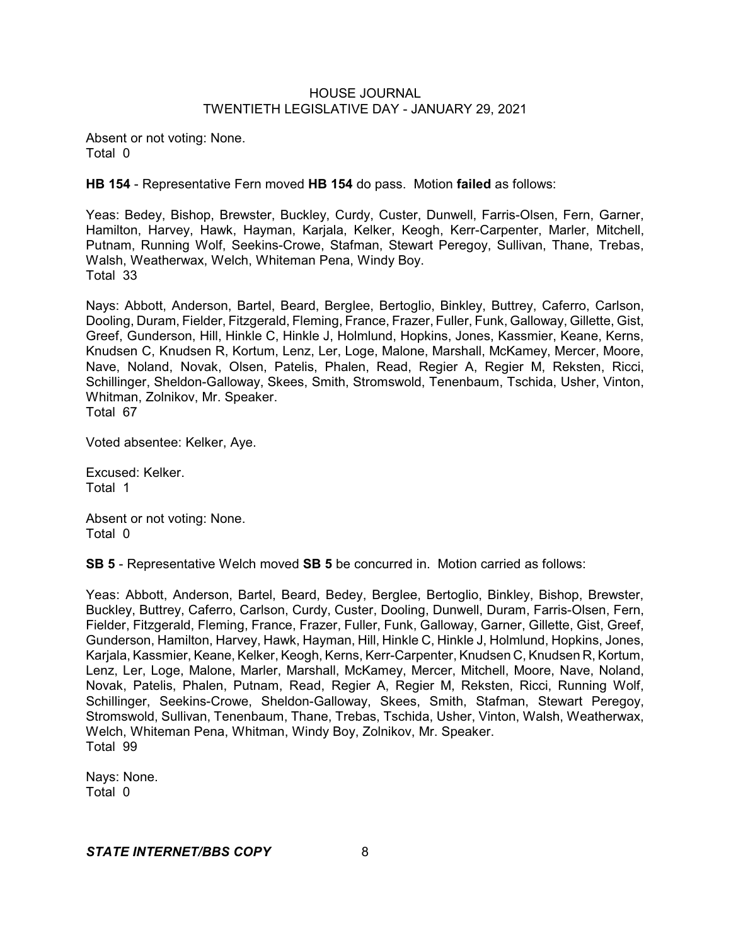Absent or not voting: None. Total 0

**HB 154** - Representative Fern moved **HB 154** do pass. Motion **failed** as follows:

Yeas: Bedey, Bishop, Brewster, Buckley, Curdy, Custer, Dunwell, Farris-Olsen, Fern, Garner, Hamilton, Harvey, Hawk, Hayman, Karjala, Kelker, Keogh, Kerr-Carpenter, Marler, Mitchell, Putnam, Running Wolf, Seekins-Crowe, Stafman, Stewart Peregoy, Sullivan, Thane, Trebas, Walsh, Weatherwax, Welch, Whiteman Pena, Windy Boy. Total 33

Nays: Abbott, Anderson, Bartel, Beard, Berglee, Bertoglio, Binkley, Buttrey, Caferro, Carlson, Dooling, Duram, Fielder, Fitzgerald, Fleming, France, Frazer, Fuller, Funk, Galloway, Gillette, Gist, Greef, Gunderson, Hill, Hinkle C, Hinkle J, Holmlund, Hopkins, Jones, Kassmier, Keane, Kerns, Knudsen C, Knudsen R, Kortum, Lenz, Ler, Loge, Malone, Marshall, McKamey, Mercer, Moore, Nave, Noland, Novak, Olsen, Patelis, Phalen, Read, Regier A, Regier M, Reksten, Ricci, Schillinger, Sheldon-Galloway, Skees, Smith, Stromswold, Tenenbaum, Tschida, Usher, Vinton, Whitman, Zolnikov, Mr. Speaker. Total 67

Voted absentee: Kelker, Aye.

Excused: Kelker. Total 1

Absent or not voting: None. Total 0

**SB 5** - Representative Welch moved **SB 5** be concurred in. Motion carried as follows:

Yeas: Abbott, Anderson, Bartel, Beard, Bedey, Berglee, Bertoglio, Binkley, Bishop, Brewster, Buckley, Buttrey, Caferro, Carlson, Curdy, Custer, Dooling, Dunwell, Duram, Farris-Olsen, Fern, Fielder, Fitzgerald, Fleming, France, Frazer, Fuller, Funk, Galloway, Garner, Gillette, Gist, Greef, Gunderson, Hamilton, Harvey, Hawk, Hayman, Hill, Hinkle C, Hinkle J, Holmlund, Hopkins, Jones, Karjala, Kassmier, Keane, Kelker, Keogh, Kerns, Kerr-Carpenter, Knudsen C, Knudsen R, Kortum, Lenz, Ler, Loge, Malone, Marler, Marshall, McKamey, Mercer, Mitchell, Moore, Nave, Noland, Novak, Patelis, Phalen, Putnam, Read, Regier A, Regier M, Reksten, Ricci, Running Wolf, Schillinger, Seekins-Crowe, Sheldon-Galloway, Skees, Smith, Stafman, Stewart Peregoy, Stromswold, Sullivan, Tenenbaum, Thane, Trebas, Tschida, Usher, Vinton, Walsh, Weatherwax, Welch, Whiteman Pena, Whitman, Windy Boy, Zolnikov, Mr. Speaker. Total 99

Nays: None. Total 0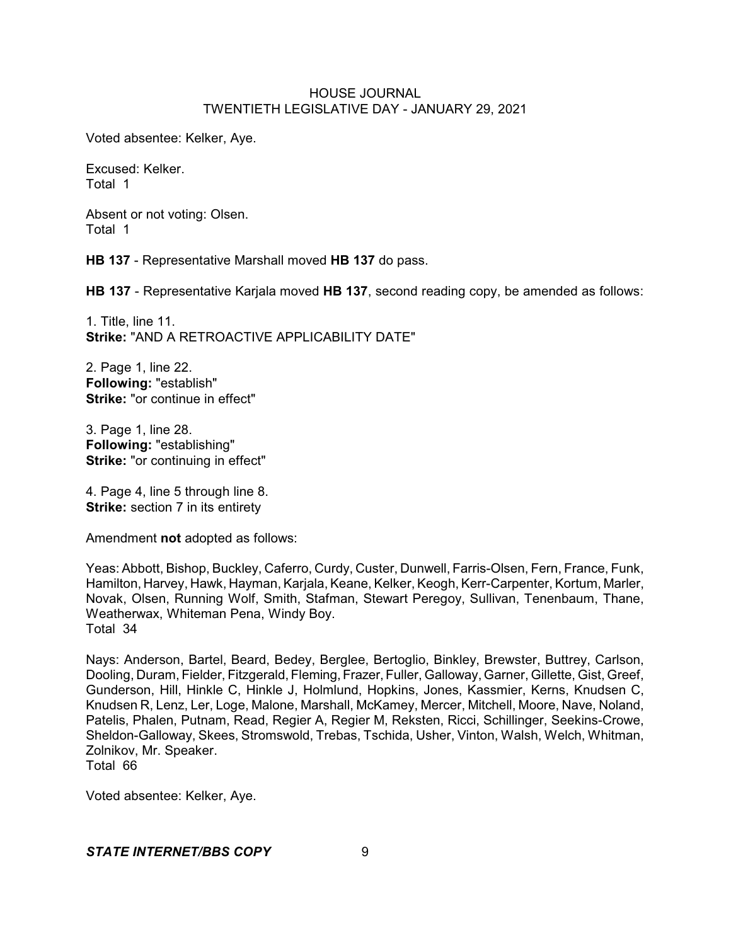Voted absentee: Kelker, Aye.

Excused: Kelker. Total 1

Absent or not voting: Olsen. Total 1

**HB 137** - Representative Marshall moved **HB 137** do pass.

**HB 137** - Representative Karjala moved **HB 137**, second reading copy, be amended as follows:

1. Title, line 11. **Strike:** "AND A RETROACTIVE APPLICABILITY DATE"

2. Page 1, line 22. **Following:** "establish" **Strike:** "or continue in effect"

3. Page 1, line 28. **Following:** "establishing" **Strike:** "or continuing in effect"

4. Page 4, line 5 through line 8. **Strike:** section 7 in its entirety

Amendment **not** adopted as follows:

Yeas: Abbott, Bishop, Buckley, Caferro, Curdy, Custer, Dunwell, Farris-Olsen, Fern, France, Funk, Hamilton, Harvey, Hawk, Hayman, Karjala, Keane, Kelker, Keogh, Kerr-Carpenter, Kortum, Marler, Novak, Olsen, Running Wolf, Smith, Stafman, Stewart Peregoy, Sullivan, Tenenbaum, Thane, Weatherwax, Whiteman Pena, Windy Boy. Total 34

Nays: Anderson, Bartel, Beard, Bedey, Berglee, Bertoglio, Binkley, Brewster, Buttrey, Carlson, Dooling, Duram, Fielder, Fitzgerald, Fleming, Frazer, Fuller, Galloway, Garner, Gillette, Gist, Greef, Gunderson, Hill, Hinkle C, Hinkle J, Holmlund, Hopkins, Jones, Kassmier, Kerns, Knudsen C, Knudsen R, Lenz, Ler, Loge, Malone, Marshall, McKamey, Mercer, Mitchell, Moore, Nave, Noland, Patelis, Phalen, Putnam, Read, Regier A, Regier M, Reksten, Ricci, Schillinger, Seekins-Crowe, Sheldon-Galloway, Skees, Stromswold, Trebas, Tschida, Usher, Vinton, Walsh, Welch, Whitman, Zolnikov, Mr. Speaker.

Total 66

Voted absentee: Kelker, Aye.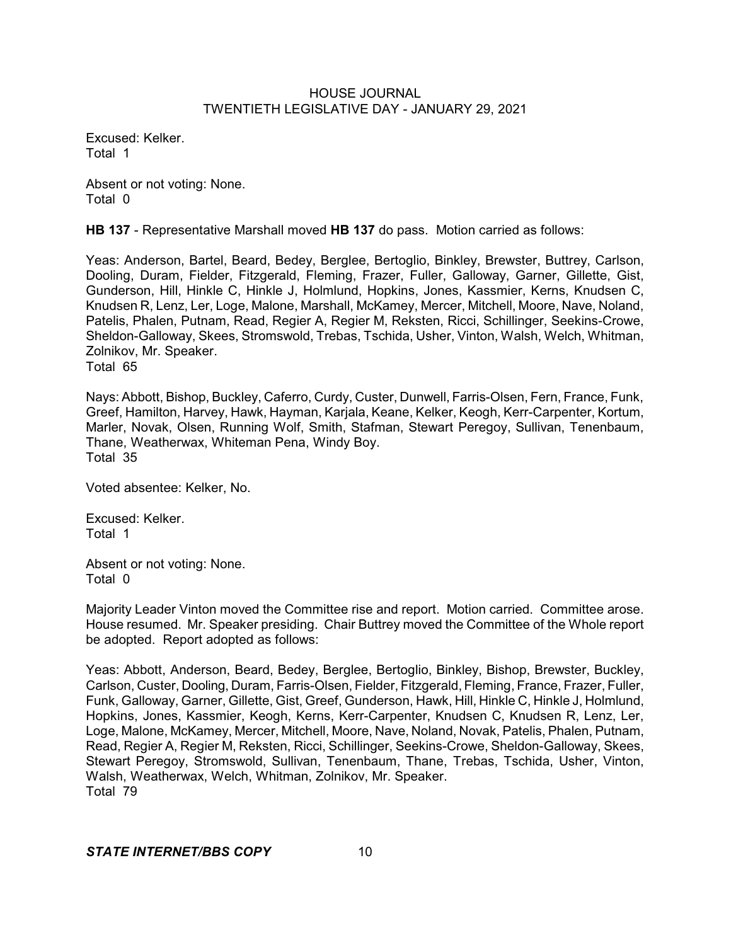Excused: Kelker. Total 1

Absent or not voting: None. Total 0

**HB 137** - Representative Marshall moved **HB 137** do pass. Motion carried as follows:

Yeas: Anderson, Bartel, Beard, Bedey, Berglee, Bertoglio, Binkley, Brewster, Buttrey, Carlson, Dooling, Duram, Fielder, Fitzgerald, Fleming, Frazer, Fuller, Galloway, Garner, Gillette, Gist, Gunderson, Hill, Hinkle C, Hinkle J, Holmlund, Hopkins, Jones, Kassmier, Kerns, Knudsen C, Knudsen R, Lenz, Ler, Loge, Malone, Marshall, McKamey, Mercer, Mitchell, Moore, Nave, Noland, Patelis, Phalen, Putnam, Read, Regier A, Regier M, Reksten, Ricci, Schillinger, Seekins-Crowe, Sheldon-Galloway, Skees, Stromswold, Trebas, Tschida, Usher, Vinton, Walsh, Welch, Whitman, Zolnikov, Mr. Speaker. Total 65

Nays: Abbott, Bishop, Buckley, Caferro, Curdy, Custer, Dunwell, Farris-Olsen, Fern, France, Funk, Greef, Hamilton, Harvey, Hawk, Hayman, Karjala, Keane, Kelker, Keogh, Kerr-Carpenter, Kortum, Marler, Novak, Olsen, Running Wolf, Smith, Stafman, Stewart Peregoy, Sullivan, Tenenbaum, Thane, Weatherwax, Whiteman Pena, Windy Boy. Total 35

Voted absentee: Kelker, No.

Excused: Kelker. Total 1

Absent or not voting: None. Total 0

Majority Leader Vinton moved the Committee rise and report. Motion carried. Committee arose. House resumed. Mr. Speaker presiding. Chair Buttrey moved the Committee of the Whole report be adopted. Report adopted as follows:

Yeas: Abbott, Anderson, Beard, Bedey, Berglee, Bertoglio, Binkley, Bishop, Brewster, Buckley, Carlson, Custer, Dooling, Duram, Farris-Olsen, Fielder, Fitzgerald, Fleming, France, Frazer, Fuller, Funk, Galloway, Garner, Gillette, Gist, Greef, Gunderson, Hawk, Hill, Hinkle C, Hinkle J, Holmlund, Hopkins, Jones, Kassmier, Keogh, Kerns, Kerr-Carpenter, Knudsen C, Knudsen R, Lenz, Ler, Loge, Malone, McKamey, Mercer, Mitchell, Moore, Nave, Noland, Novak, Patelis, Phalen, Putnam, Read, Regier A, Regier M, Reksten, Ricci, Schillinger, Seekins-Crowe, Sheldon-Galloway, Skees, Stewart Peregoy, Stromswold, Sullivan, Tenenbaum, Thane, Trebas, Tschida, Usher, Vinton, Walsh, Weatherwax, Welch, Whitman, Zolnikov, Mr. Speaker. Total 79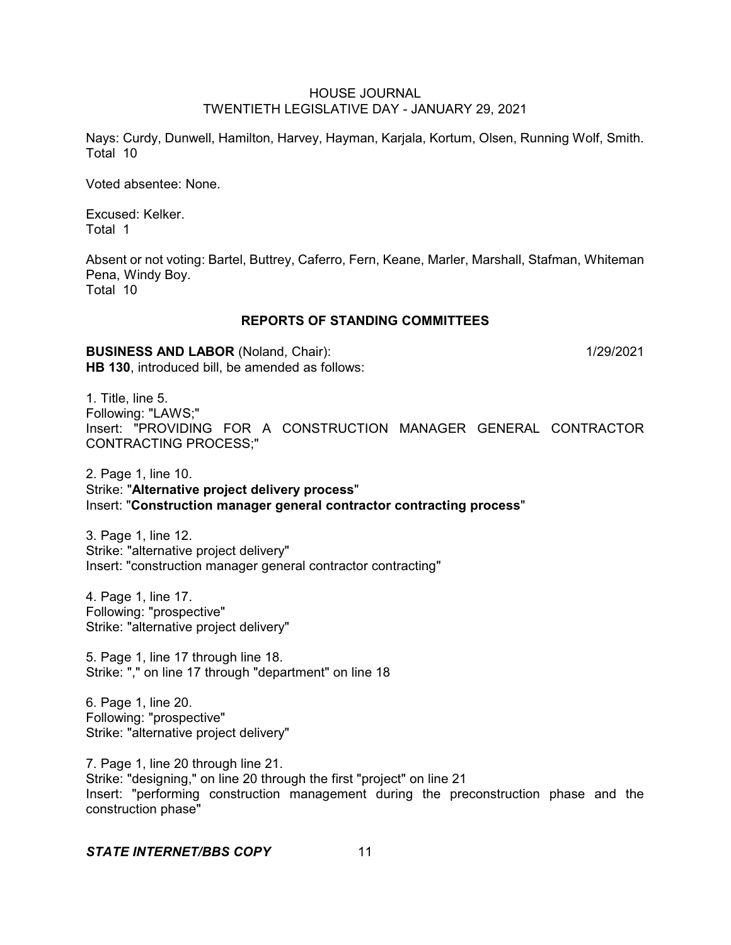Nays: Curdy, Dunwell, Hamilton, Harvey, Hayman, Karjala, Kortum, Olsen, Running Wolf, Smith. Total 10

Voted absentee: None.

Excused: Kelker. Total 1

Absent or not voting: Bartel, Buttrey, Caferro, Fern, Keane, Marler, Marshall, Stafman, Whiteman Pena, Windy Boy. Total 10

# **REPORTS OF STANDING COMMITTEES**

**BUSINESS AND LABOR** (Noland, Chair): 1/29/2021 **HB 130**, introduced bill, be amended as follows:

1. Title, line 5. Following: "LAWS;" Insert: "PROVIDING FOR A CONSTRUCTION MANAGER GENERAL CONTRACTOR CONTRACTING PROCESS;"

2. Page 1, line 10. Strike: "**Alternative project delivery process**" Insert: "**Construction manager general contractor contracting process**"

3. Page 1, line 12. Strike: "alternative project delivery" Insert: "construction manager general contractor contracting"

4. Page 1, line 17. Following: "prospective" Strike: "alternative project delivery"

5. Page 1, line 17 through line 18. Strike: "," on line 17 through "department" on line 18

6. Page 1, line 20. Following: "prospective" Strike: "alternative project delivery"

7. Page 1, line 20 through line 21. Strike: "designing," on line 20 through the first "project" on line 21 Insert: "performing construction management during the preconstruction phase and the construction phase"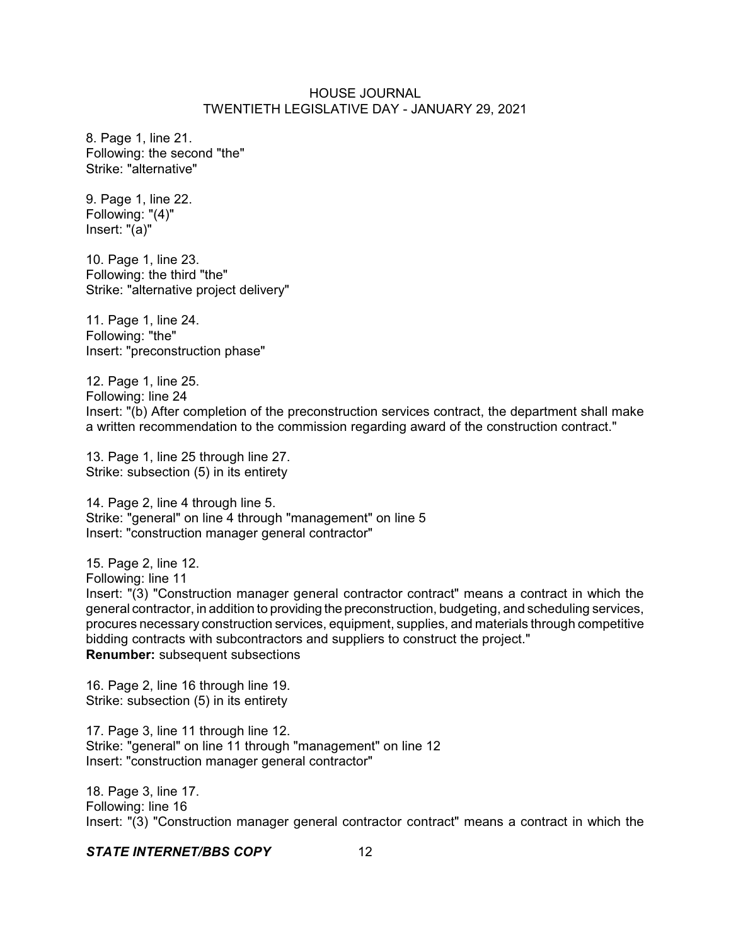8. Page 1, line 21. Following: the second "the" Strike: "alternative"

9. Page 1, line 22. Following: "(4)" Insert: "(a)"

10. Page 1, line 23. Following: the third "the" Strike: "alternative project delivery"

11. Page 1, line 24. Following: "the" Insert: "preconstruction phase"

12. Page 1, line 25. Following: line 24 Insert: "(b) After completion of the preconstruction services contract, the department shall make a written recommendation to the commission regarding award of the construction contract."

13. Page 1, line 25 through line 27. Strike: subsection (5) in its entirety

14. Page 2, line 4 through line 5. Strike: "general" on line 4 through "management" on line 5 Insert: "construction manager general contractor"

15. Page 2, line 12.

Following: line 11

Insert: "(3) "Construction manager general contractor contract" means a contract in which the general contractor, in addition to providing the preconstruction, budgeting, and scheduling services, procures necessary construction services, equipment, supplies, and materials through competitive bidding contracts with subcontractors and suppliers to construct the project." **Renumber:** subsequent subsections

16. Page 2, line 16 through line 19. Strike: subsection (5) in its entirety

17. Page 3, line 11 through line 12. Strike: "general" on line 11 through "management" on line 12 Insert: "construction manager general contractor"

18. Page 3, line 17. Following: line 16 Insert: "(3) "Construction manager general contractor contract" means a contract in which the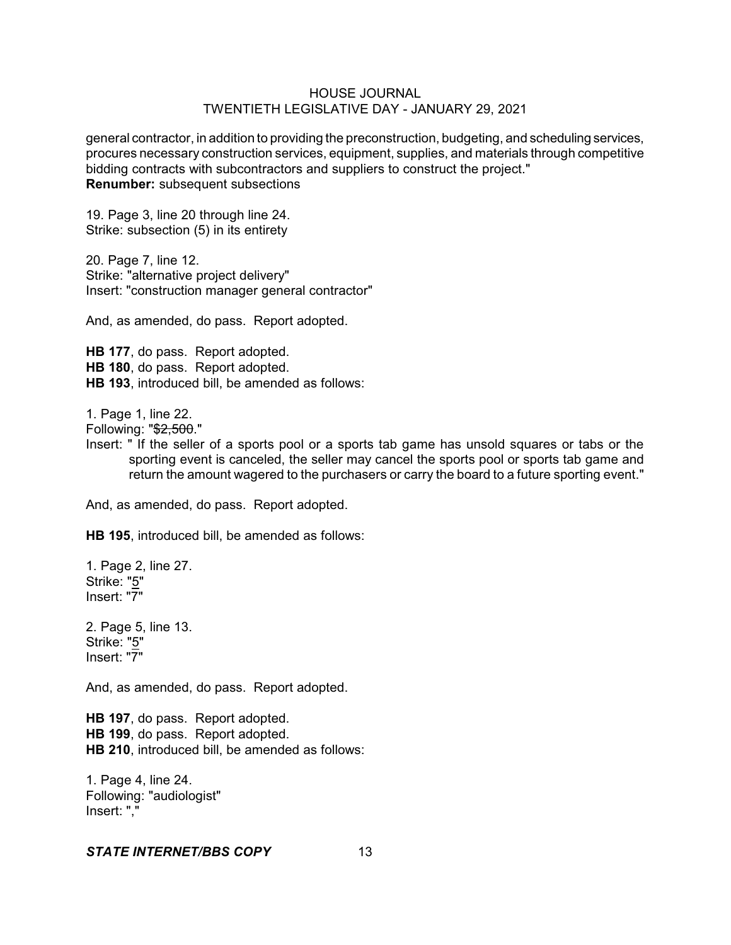general contractor, in addition to providing the preconstruction, budgeting, and scheduling services, procures necessary construction services, equipment, supplies, and materials through competitive bidding contracts with subcontractors and suppliers to construct the project." **Renumber:** subsequent subsections

19. Page 3, line 20 through line 24. Strike: subsection (5) in its entirety

20. Page 7, line 12. Strike: "alternative project delivery" Insert: "construction manager general contractor"

And, as amended, do pass. Report adopted.

**HB 177**, do pass. Report adopted. **HB 180**, do pass. Report adopted. **HB 193**, introduced bill, be amended as follows:

1. Page 1, line 22.

Following: "\$2,500."

Insert: " If the seller of a sports pool or a sports tab game has unsold squares or tabs or the sporting event is canceled, the seller may cancel the sports pool or sports tab game and return the amount wagered to the purchasers or carry the board to a future sporting event."

And, as amended, do pass. Report adopted.

**HB 195**, introduced bill, be amended as follows:

1. Page 2, line 27. Strike: "5" Insert: "7"

2. Page 5, line 13. Strike: "5" Insert: "7"

And, as amended, do pass. Report adopted.

**HB 197**, do pass. Report adopted. **HB 199**, do pass. Report adopted. **HB 210**, introduced bill, be amended as follows:

1. Page 4, line 24. Following: "audiologist" Insert: ","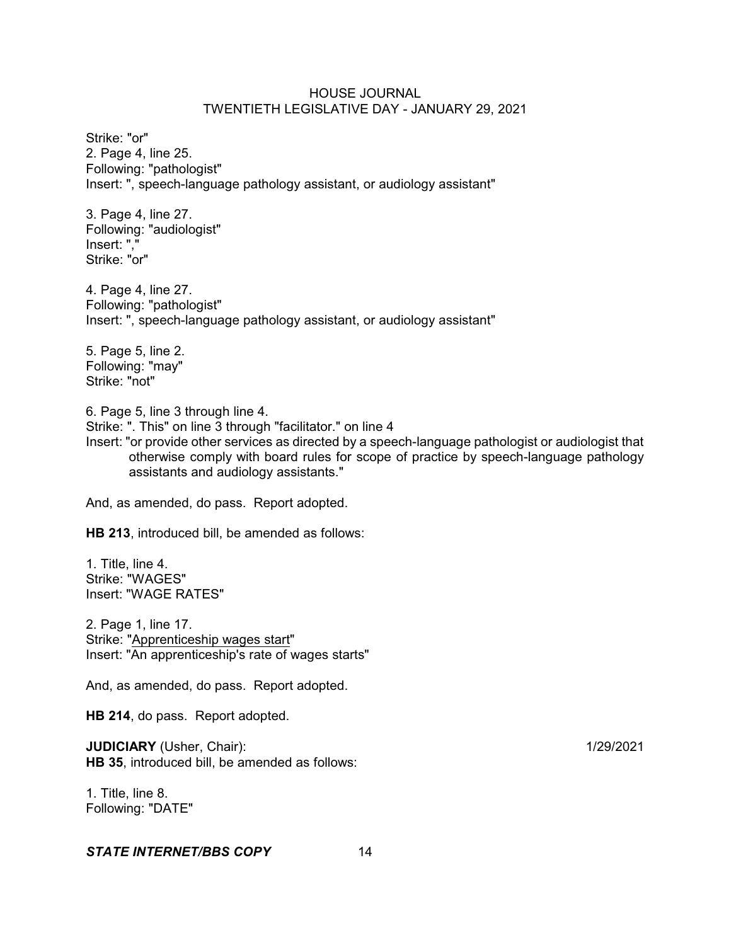Strike: "or" 2. Page 4, line 25. Following: "pathologist" Insert: ", speech-language pathology assistant, or audiology assistant"

3. Page 4, line 27. Following: "audiologist" Insert: "," Strike: "or"

4. Page 4, line 27. Following: "pathologist" Insert: ", speech-language pathology assistant, or audiology assistant"

5. Page 5, line 2. Following: "may" Strike: "not"

6. Page 5, line 3 through line 4.

Strike: ". This" on line 3 through "facilitator." on line 4

Insert: "or provide other services as directed by a speech-language pathologist or audiologist that otherwise comply with board rules for scope of practice by speech-language pathology assistants and audiology assistants."

And, as amended, do pass. Report adopted.

**HB 213**, introduced bill, be amended as follows:

1. Title, line 4. Strike: "WAGES" Insert: "WAGE RATES"

2. Page 1, line 17. Strike: "Apprenticeship wages start" Insert: "An apprenticeship's rate of wages starts"

And, as amended, do pass. Report adopted.

**HB 214**, do pass. Report adopted.

**JUDICIARY** (Usher, Chair): 1/29/2021 **HB 35**, introduced bill, be amended as follows:

1. Title, line 8. Following: "DATE"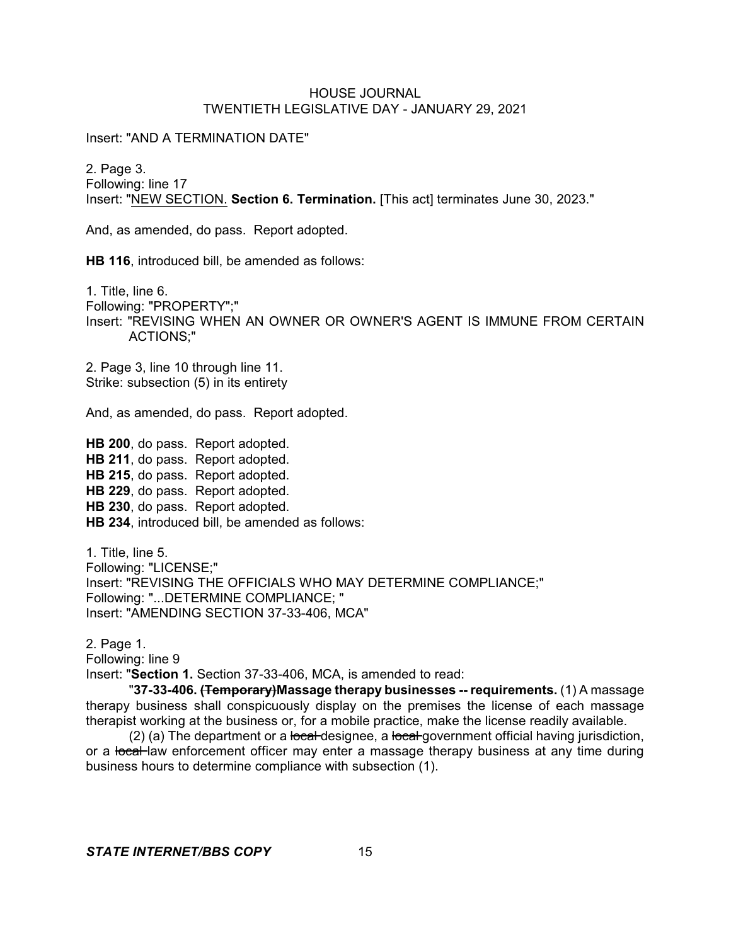Insert: "AND A TERMINATION DATE"

2. Page 3. Following: line 17 Insert: "NEW SECTION. **Section 6. Termination.** [This act] terminates June 30, 2023."

And, as amended, do pass. Report adopted.

**HB 116**, introduced bill, be amended as follows:

1. Title, line 6. Following: "PROPERTY";" Insert: "REVISING WHEN AN OWNER OR OWNER'S AGENT IS IMMUNE FROM CERTAIN ACTIONS;"

2. Page 3, line 10 through line 11. Strike: subsection (5) in its entirety

And, as amended, do pass. Report adopted.

**HB 200**, do pass. Report adopted. **HB 211**, do pass. Report adopted. **HB 215**, do pass. Report adopted. **HB 229**, do pass. Report adopted. **HB 230**, do pass. Report adopted. **HB 234**, introduced bill, be amended as follows:

1. Title, line 5. Following: "LICENSE;" Insert: "REVISING THE OFFICIALS WHO MAY DETERMINE COMPLIANCE;" Following: "...DETERMINE COMPLIANCE; " Insert: "AMENDING SECTION 37-33-406, MCA"

2. Page 1.

Following: line 9

Insert: "**Section 1.** Section 37-33-406, MCA, is amended to read:

"**37-33-406. (Temporary)Massage therapy businesses -- requirements.** (1) A massage therapy business shall conspicuously display on the premises the license of each massage therapist working at the business or, for a mobile practice, make the license readily available.

 $(2)$  (a) The department or a local designee, a local government official having jurisdiction, or a local law enforcement officer may enter a massage therapy business at any time during business hours to determine compliance with subsection (1).